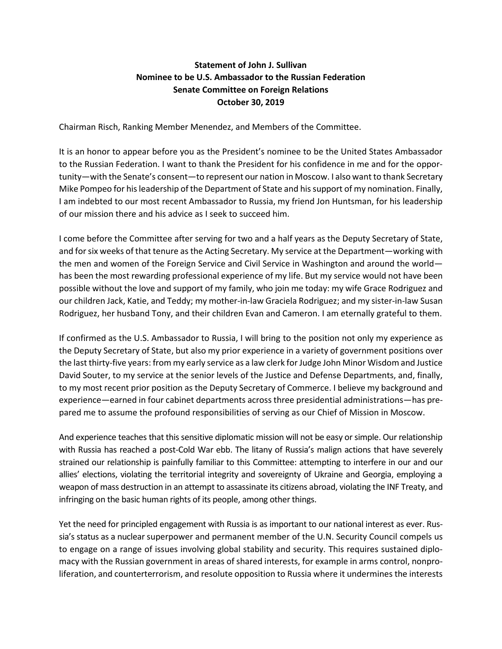## **Statement of John J. Sullivan Nominee to be U.S. Ambassador to the Russian Federation Senate Committee on Foreign Relations October 30, 2019**

Chairman Risch, Ranking Member Menendez, and Members of the Committee.

It is an honor to appear before you as the President's nominee to be the United States Ambassador to the Russian Federation. I want to thank the President for his confidence in me and for the opportunity—with the Senate's consent—to represent our nation in Moscow. I also want to thank Secretary Mike Pompeo for his leadership of the Department of State and his support of my nomination. Finally, I am indebted to our most recent Ambassador to Russia, my friend Jon Huntsman, for his leadership of our mission there and his advice as I seek to succeed him.

I come before the Committee after serving for two and a half years as the Deputy Secretary of State, and for six weeks of that tenure as the Acting Secretary. My service at the Department—working with the men and women of the Foreign Service and Civil Service in Washington and around the world has been the most rewarding professional experience of my life. But my service would not have been possible without the love and support of my family, who join me today: my wife Grace Rodriguez and our children Jack, Katie, and Teddy; my mother-in-law Graciela Rodriguez; and my sister-in-law Susan Rodriguez, her husband Tony, and their children Evan and Cameron. I am eternally grateful to them.

If confirmed as the U.S. Ambassador to Russia, I will bring to the position not only my experience as the Deputy Secretary of State, but also my prior experience in a variety of government positions over the last thirty-five years: from my early service as a law clerk for Judge John Minor Wisdom and Justice David Souter, to my service at the senior levels of the Justice and Defense Departments, and, finally, to my most recent prior position as the Deputy Secretary of Commerce. I believe my background and experience—earned in four cabinet departments across three presidential administrations—has prepared me to assume the profound responsibilities of serving as our Chief of Mission in Moscow.

And experience teaches that this sensitive diplomatic mission will not be easy or simple. Our relationship with Russia has reached a post-Cold War ebb. The litany of Russia's malign actions that have severely strained our relationship is painfully familiar to this Committee: attempting to interfere in our and our allies' elections, violating the territorial integrity and sovereignty of Ukraine and Georgia, employing a weapon of mass destruction in an attempt to assassinate its citizens abroad, violating the INF Treaty, and infringing on the basic human rights of its people, among other things.

Yet the need for principled engagement with Russia is as important to our national interest as ever. Russia's status as a nuclear superpower and permanent member of the U.N. Security Council compels us to engage on a range of issues involving global stability and security. This requires sustained diplomacy with the Russian government in areas of shared interests, for example in arms control, nonproliferation, and counterterrorism, and resolute opposition to Russia where it undermines the interests